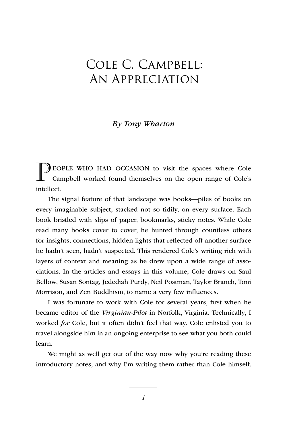# Cole C. Campbell: An Appreciation

## *By Tony Wharton*

PEOPLE WHO HAD OCCASION to visit the spaces where Cole Campbell worked found themselves on the open range of Cole's intellect.

The signal feature of that landscape was books—piles of books on every imaginable subject, stacked not so tidily, on every surface. Each book bristled with slips of paper, bookmarks, sticky notes. While Cole read many books cover to cover, he hunted through countless others for insights, connections, hidden lights that reflected off another surface he hadn't seen, hadn't suspected. This rendered Cole's writing rich with layers of context and meaning as he drew upon a wide range of associations. In the articles and essays in this volume, Cole draws on Saul Bellow, Susan Sontag, Jedediah Purdy, Neil Postman, Taylor Branch, Toni Morrison, and Zen Buddhism, to name a very few influences.

I was fortunate to work with Cole for several years, first when he became editor of the *Virginian-Pilot* in Norfolk, Virginia. Technically, I worked *for* Cole, but it often didn't feel that way. Cole enlisted you to travel alongside him in an ongoing enterprise to see what you both could learn.

We might as well get out of the way now why you're reading these introductory notes, and why I'm writing them rather than Cole himself.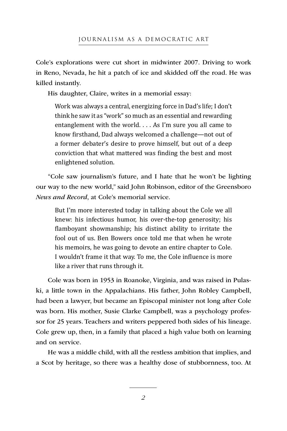Cole's explorations were cut short in midwinter 2007. Driving to work in Reno, Nevada, he hit a patch of ice and skidded off the road. He was killed instantly.

His daughter, Claire, writes in a memorial essay:

Work was always a central, energizing force in Dad's life; I don't think he saw it as "work" so much as an essential and rewarding entanglement with the world. . . . As I'm sure you all came to know firsthand, Dad always welcomed a challenge—not out of a former debater's desire to prove himself, but out of a deep conviction that what mattered was finding the best and most enlightened solution.

"Cole saw journalism's future, and I hate that he won't be lighting our way to the new world," said John Robinson, editor of the Greensboro *News and Record*, at Cole's memorial service.

But I'm more interested today in talking about the Cole we all knew: his infectious humor, his over-the-top generosity; his flamboyant showmanship; his distinct ability to irritate the fool out of us. Ben Bowers once told me that when he wrote his memoirs, he was going to devote an entire chapter to Cole. I wouldn't frame it that way. To me, the Cole influence is more like a river that runs through it.

Cole was born in 1953 in Roanoke, Virginia, and was raised in Pulaski, a little town in the Appalachians. His father, John Robley Campbell, had been a lawyer, but became an Episcopal minister not long after Cole was born. His mother, Susie Clarke Campbell, was a psychology professor for 25 years. Teachers and writers peppered both sides of his lineage. Cole grew up, then, in a family that placed a high value both on learning and on service.

He was a middle child, with all the restless ambition that implies, and a Scot by heritage, so there was a healthy dose of stubbornness, too. At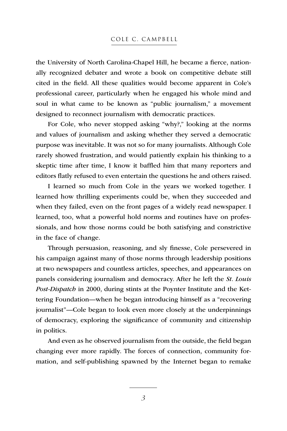the University of North Carolina-Chapel Hill, he became a fierce, nationally recognized debater and wrote a book on competitive debate still cited in the field. All these qualities would become apparent in Cole's professional career, particularly when he engaged his whole mind and soul in what came to be known as "public journalism," a movement designed to reconnect journalism with democratic practices.

For Cole, who never stopped asking "why?," looking at the norms and values of journalism and asking whether they served a democratic purpose was inevitable. It was not so for many journalists. Although Cole rarely showed frustration, and would patiently explain his thinking to a skeptic time after time, I know it baffled him that many reporters and editors flatly refused to even entertain the questions he and others raised.

I learned so much from Cole in the years we worked together. I learned how thrilling experiments could be, when they succeeded and when they failed, even on the front pages of a widely read newspaper. I learned, too, what a powerful hold norms and routines have on professionals, and how those norms could be both satisfying and constrictive in the face of change.

Through persuasion, reasoning, and sly finesse, Cole persevered in his campaign against many of those norms through leadership positions at two newspapers and countless articles, speeches, and appearances on panels considering journalism and democracy. After he left the *St. Louis Post-Dispatch* in 2000, during stints at the Poynter Institute and the Kettering Foundation—when he began introducing himself as a "recovering journalist"—Cole began to look even more closely at the underpinnings of democracy, exploring the significance of community and citizenship in politics.

And even as he observed journalism from the outside, the field began changing ever more rapidly. The forces of connection, community formation, and self-publishing spawned by the Internet began to remake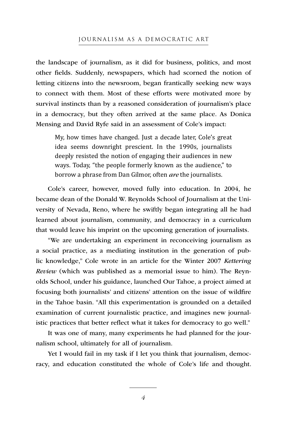### JOURNALISM AS A DEMOCRATIC ART

the landscape of journalism, as it did for business, politics, and most other fields. Suddenly, newspapers, which had scorned the notion of letting citizens into the newsroom, began frantically seeking new ways to connect with them. Most of these efforts were motivated more by survival instincts than by a reasoned consideration of journalism's place in a democracy, but they often arrived at the same place. As Donica Mensing and David Ryfe said in an assessment of Cole's impact:

My, how times have changed. Just a decade later, Cole's great idea seems downright prescient. In the 1990s, journalists deeply resisted the notion of engaging their audiences in new ways. Today, "the people formerly known as the audience," to borrow a phrase from Dan Gilmor, often *are* the journalists.

Cole's career, however, moved fully into education. In 2004, he became dean of the Donald W. Reynolds School of Journalism at the University of Nevada, Reno, where he swiftly began integrating all he had learned about journalism, community, and democracy in a curriculum that would leave his imprint on the upcoming generation of journalists.

"We are undertaking an experiment in reconceiving journalism as a social practice, as a mediating institution in the generation of public knowledge," Cole wrote in an article for the Winter 2007 *Kettering Review* (which was published as a memorial issue to him). The Reynolds School, under his guidance, launched Our Tahoe, a project aimed at focusing both journalists' and citizens' attention on the issue of wildfire in the Tahoe basin. "All this experimentation is grounded on a detailed examination of current journalistic practice, and imagines new journalistic practices that better reflect what it takes for democracy to go well."

It was one of many, many experiments he had planned for the journalism school, ultimately for all of journalism.

Yet I would fail in my task if I let you think that journalism, democracy, and education constituted the whole of Cole's life and thought.